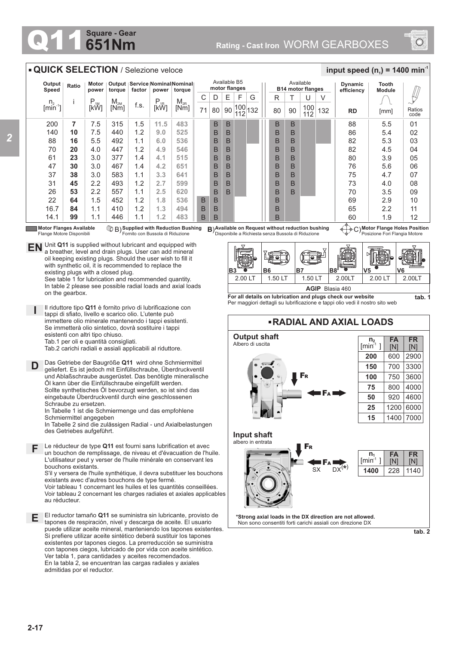## **651Nm Square - Gear**



## **QUICK SELECTION** / Selezione veloce

| Output<br>Speed                        | Ratio | Motor<br>power | Output<br>torque | factor | Service Nominal Nominal<br>torque |          | Available B5<br>motor flanges |    |    |            |     | Available<br><b>B14 motor flanges</b> |    |    |            | <b>Dynamic</b><br>efficiency | Tooth<br><b>Module</b> |      |                |
|----------------------------------------|-------|----------------|------------------|--------|-----------------------------------|----------|-------------------------------|----|----|------------|-----|---------------------------------------|----|----|------------|------------------------------|------------------------|------|----------------|
|                                        |       | $P_{.1M}$      | $M_{2M}$         |        | $P_{.1R}$                         | $M_{2R}$ | С                             | D  | E  | F          | G   |                                       | R  |    | U          |                              |                        |      |                |
| $n_{2}$<br>$\left[\text{min}^2\right]$ |       | [kW]           | [Nm              | f.s.   | [kW]                              | [Nm]     | 71                            | 80 | 90 | 100<br>112 | 132 |                                       | 80 | 90 | 100<br>112 | 132                          | <b>RD</b>              | [mm] | Ratios<br>code |
| 200                                    | 7     | 7.5            | 315              | 1.5    | 11.5                              | 483      |                               | B  | B  |            |     |                                       | B  | B  |            |                              | 88                     | 5.5  | 01             |
| 140                                    | 10    | 7.5            | 440              | 1.2    | 9.0                               | 525      |                               | B  | B  |            |     |                                       | B  | B  |            |                              | 86                     | 5.4  | 02             |
| 88                                     | 16    | 5.5            | 492              | 1.1    | 6.0                               | 536      |                               | B  | B  |            |     |                                       | B  | B  |            |                              | 82                     | 5.3  | 03             |
| 70                                     | 20    | 4.0            | 447              | 1.2    | 4.9                               | 546      |                               | B  | B  |            |     |                                       | B  | B  |            |                              | 82                     | 4.5  | 04             |
| 61                                     | 23    | 3.0            | 377              | 1.4    | 4.1                               | 515      |                               | B  | B  |            |     |                                       | B  | B  |            |                              | 80                     | 3.9  | 05             |
| 47                                     | 30    | 3.0            | 467              | 1.4    | 4.2                               | 651      |                               | B  | B  |            |     |                                       | B  | B  |            |                              | 76                     | 5.6  | 06             |
| 37                                     | 38    | 3.0            | 583              | 1.1    | 3.3                               | 641      |                               | B  | B  |            |     |                                       | B  | B  |            |                              | 75                     | 4.7  | 07             |
| 31                                     | 45    | 2.2            | 493              | 1.2    | 2.7                               | 599      |                               | B  | B  |            |     |                                       | B  | B  |            |                              | 73                     | 4.0  | 08             |
| 26                                     | 53    | 2.2            | 557              | 1.1    | 2.5                               | 620      |                               | B  | B  |            |     |                                       | B  | B  |            |                              | 70                     | 3.5  | 09             |
| 22                                     | 64    | 1.5            | 452              | 1.2    | 1.8                               | 536      | B                             | B  |    |            |     |                                       | B  |    |            |                              | 69                     | 2.9  | 10             |
| 16.7                                   | 84    | 1.1            | 410              | 1.2    | 1.3                               | 494      | B                             | B  |    |            |     |                                       | B  |    |            |                              | 65                     | 2.2  | 11             |
| 14.1                                   | 99    | 1.1            | 446              | 1.1    | 1.2                               | 483      | B                             | B  |    |            |     |                                       | B  |    |            |                              | 60                     | 1.9  | 12             |

## **Motor Flanges Available**

Flange Motore Disponibili **Supplied with Reduction Bushing** Fornito con Bussola di Riduzione B) **B**)

**EN** Unit **Q11** is supplied without lubricant and equipped with a breather, level and drain plugs. User can add mineral oil keeping existing plugs. Should the user wish to fill it with synthetic oil, it is recommended to replace the existing plugs with a closed plug.

See table 1 for lubrication and recommended quantity. In table 2 please see possible radial loads and axial loads on the gearbox.

**I** Il riduttore tipo **Q11** è fornito privo di lubrificazione con tappi di sfiato, livello e scarico olio. L'utente può immettere olio minerale mantenendo i tappi esistenti. Se immetterà olio sintetico, dovrà sostituire i tappi esistenti con altri tipo chiuso. Tab.1 per oli e quantità consigliati.

Tab.2 carichi radiali e assiali applicabili al riduttore.

**D** Das Getriebe der Baugröße **Q11** wird ohne Schmiermittel geliefert. Es ist jedoch mit Einfüllschraube, Überdruckventil und Ablaßschraube ausgerüstet. Das benötigte mineralische Öl kann über die Einfüllschraube eingefüllt werden. Sollte synthetisches Öl bevorzugt werden, so ist sind das eingebaute Überdruckventil durch eine geschlossenen Schraube zu ersetzen.

In Tabelle 1 ist die Schmiermenge und das empfohlene Schmiermittel angegeben

In Tabelle 2 sind die zulässigen Radial - und Axialbelastungen des Getriebes aufgeführt.

Le réducteur de type **Q11** est fourni sans lubrification et avec un bouchon de remplissage, de niveau et d'évacuation de l'huile. L'utilisateur peut y verser de l'huile minérale en conservant les bouchons existants. **F**

S'il y versera de l'huile synthétique, il devra substituer les bouchons existants avec d'autres bouchons de type fermé.

Voir tableau 1 concernant les huiles et les quantités conseillées. Voir tableau 2 concernant les charges radiales et axiales applicables au réducteur.

El reductor tamaño **Q11** se suministra sin lubricante, provisto de **E** tapones de respiración, nivel y descarga de aceite. El usuario puede utilizar aceite mineral, manteniendo los tapones existentes. Si prefiere utilizar aceite sintético deberá sustituir los tapones existentes por tapones ciegos. La prerreducción se suministra con tapones ciegos, lubricado de por vida con aceite sintético. Ver tabla 1, para cantidades y aceites recomendados. En la tabla 2, se encuentran las cargas radiales y axiales admitidas por el reductor.

**Available on Request without reduction bushing** Disponibile a Richiesta senza Bussola di Riduzione

**Motor Flange Holes Position** C) Posizione Fori Flangia Motore

 $\frac{1}{2}$  **input speed (n**<sub>1</sub>) = 1400 min<sup>-1</sup>



**RADIAL AND AXIAL LOADS**

**For all details on lubrication and plugs check our website**  Per maggiori dettagli su lubrificazione e tappi olio vedi il nostro sito web



**\*Strong axial loads in the DX direction are not allowed.** Non sono consentiti forti carichi assiali con direzione DX

**tab. 2**